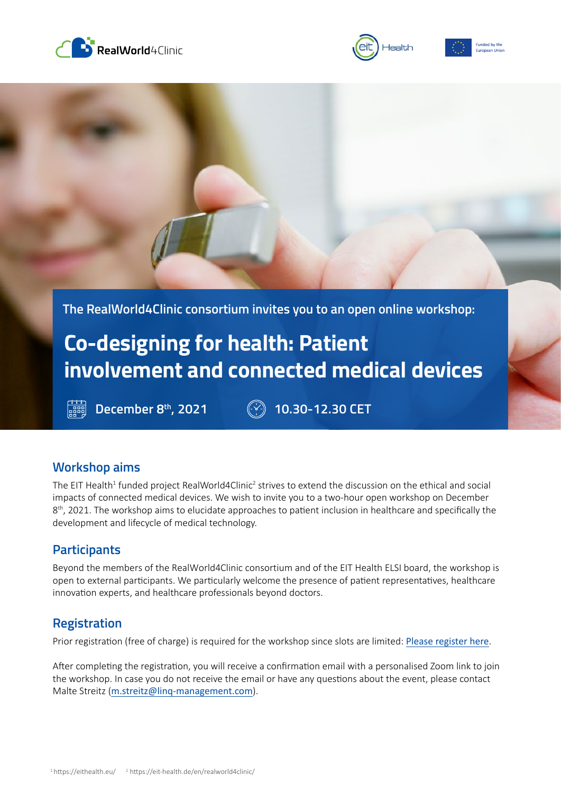





**The RealWorld4Clinic consortium invites you to an open online workshop:** 

# **Co-designing for health: Patient involvement and connected medical devices**

**December 8th, 2021 10.30-12.30 CET**

## **Workshop aims**

The EIT Health<sup>1</sup> funded project RealWorld4Clinic<sup>2</sup> strives to extend the discussion on the ethical and social impacts of connected medical devices. We wish to invite you to a two-hour open workshop on December 8<sup>th</sup>, 2021. The workshop aims to elucidate approaches to patient inclusion in healthcare and specifically the development and lifecycle of medical technology.

## **Participants**

Beyond the members of the RealWorld4Clinic consortium and of the EIT Health ELSI board, the workshop is open to external participants. We particularly welcome the presence of patient representatives, healthcare innovation experts, and healthcare professionals beyond doctors.

## **Registration**

Prior registration (free of charge) is required for the workshop since slots are limited: [Please register here](https://us02web.zoom.us/meeting/register/tZYud-yupj8uG9QpXFgGMYNao1FO7GOV7dWa).

After completing the registration, you will receive a confirmation email with a personalised Zoom link to join the workshop. In case you do not receive the email or have any questions about the event, please contact Malte Streitz ([m.streitz@linq-management.com](mailto:m.streitz%40linq-management.com?subject=RealWorld4Clinic%20ELSI%20Workshop)).